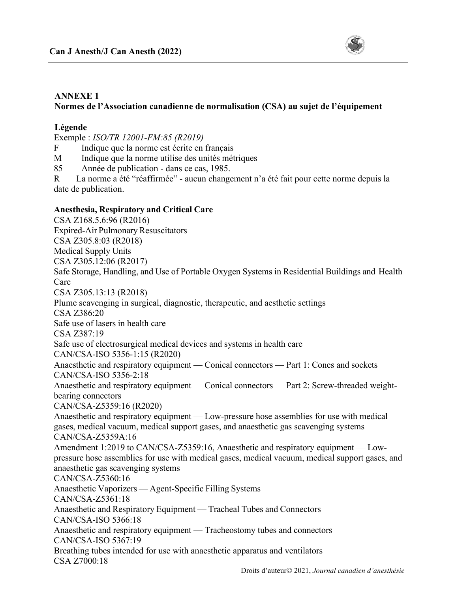

### **ANNEXE 1**

## **Normes de l'Association canadienne de normalisation (CSA) au sujet de l'équipement**

#### **Légende**

Exemple : *ISO/TR 12001-FM:85 (R2019)*

F Indique que la norme est écrite en français

M Indique que la norme utilise des unités métriques

85 Année de publication - dans ce cas, 1985.

R La norme a été "réaffirmée" - aucun changement n'a été fait pour cette norme depuis la date de publication.

#### **Anesthesia, Respiratory and Critical Care**

CSA Z168.5.6:96 (R2016) Expired-Air Pulmonary Resuscitators CSA Z305.8:03 (R2018) Medical Supply Units CSA Z305.12:06 (R2017) Safe Storage, Handling, and Use of Portable Oxygen Systems in Residential Buildings and Health Care CSA Z305.13:13 (R2018) Plume scavenging in surgical, diagnostic, therapeutic, and aesthetic settings CSA Z386:20 Safe use of lasers in health care CSA Z387:19 Safe use of electrosurgical medical devices and systems in health care CAN/CSA-ISO 5356-1:15 (R2020) Anaesthetic and respiratory equipment — Conical connectors — Part 1: Cones and sockets CAN/CSA-ISO 5356-2:18 Anaesthetic and respiratory equipment — Conical connectors — Part 2: Screw-threaded weightbearing connectors CAN/CSA-Z5359:16 (R2020) Anaesthetic and respiratory equipment — Low-pressure hose assemblies for use with medical gases, medical vacuum, medical support gases, and anaesthetic gas scavenging systems CAN/CSA-Z5359A:16 Amendment 1:2019 to CAN/CSA-Z5359:16, Anaesthetic and respiratory equipment — Lowpressure hose assemblies for use with medical gases, medical vacuum, medical support gases, and anaesthetic gas scavenging systems CAN/CSA-Z5360:16 Anaesthetic Vaporizers — Agent-Specific Filling Systems CAN/CSA-Z5361:18 Anaesthetic and Respiratory Equipment — Tracheal Tubes and Connectors CAN/CSA-ISO 5366:18 Anaesthetic and respiratory equipment — Tracheostomy tubes and connectors CAN/CSA-ISO 5367:19 Breathing tubes intended for use with anaesthetic apparatus and ventilators CSA Z7000:18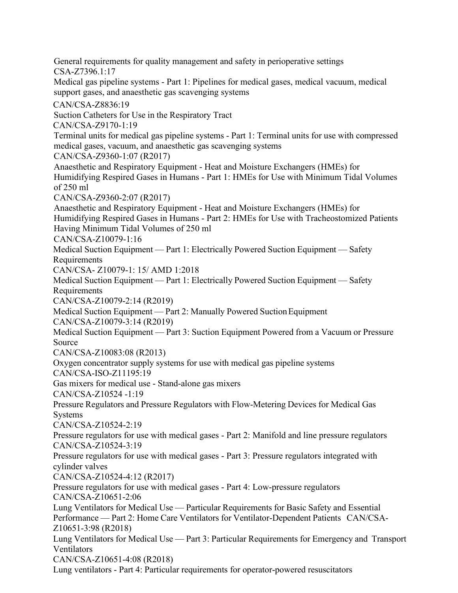General requirements for quality management and safety in perioperative settings CSA-Z7396.1:17 Medical gas pipeline systems - Part 1: Pipelines for medical gases, medical vacuum, medical support gases, and anaesthetic gas scavenging systems CAN/CSA-Z8836:19 Suction Catheters for Use in the Respiratory Tract CAN/CSA-Z9170-1:19 Terminal units for medical gas pipeline systems - Part 1: Terminal units for use with compressed medical gases, vacuum, and anaesthetic gas scavenging systems CAN/CSA-Z9360-1:07 (R2017) Anaesthetic and Respiratory Equipment - Heat and Moisture Exchangers (HMEs) for Humidifying Respired Gases in Humans - Part 1: HMEs for Use with Minimum Tidal Volumes of 250 ml CAN/CSA-Z9360-2:07 (R2017) Anaesthetic and Respiratory Equipment - Heat and Moisture Exchangers (HMEs) for Humidifying Respired Gases in Humans - Part 2: HMEs for Use with Tracheostomized Patients Having Minimum Tidal Volumes of 250 ml CAN/CSA-Z10079-1:16 Medical Suction Equipment — Part 1: Electrically Powered Suction Equipment — Safety Requirements CAN/CSA- Z10079-1: 15/ AMD 1:2018 Medical Suction Equipment — Part 1: Electrically Powered Suction Equipment — Safety Requirements CAN/CSA-Z10079-2:14 (R2019) Medical Suction Equipment — Part 2: Manually Powered Suction Equipment CAN/CSA-Z10079-3:14 (R2019) Medical Suction Equipment — Part 3: Suction Equipment Powered from a Vacuum or Pressure Source CAN/CSA-Z10083:08 (R2013) Oxygen concentrator supply systems for use with medical gas pipeline systems CAN/CSA-ISO-Z11195:19 Gas mixers for medical use - Stand-alone gas mixers CAN/CSA-Z10524 -1:19 Pressure Regulators and Pressure Regulators with Flow-Metering Devices for Medical Gas Systems CAN/CSA-Z10524-2:19 Pressure regulators for use with medical gases - Part 2: Manifold and line pressure regulators CAN/CSA-Z10524-3:19 Pressure regulators for use with medical gases - Part 3: Pressure regulators integrated with cylinder valves CAN/CSA-Z10524-4:12 (R2017) Pressure regulators for use with medical gases - Part 4: Low-pressure regulators CAN/CSA-Z10651-2:06 Lung Ventilators for Medical Use — Particular Requirements for Basic Safety and Essential Performance — Part 2: Home Care Ventilators for Ventilator-Dependent Patients CAN/CSA-Z10651-3:98 (R2018) Lung Ventilators for Medical Use — Part 3: Particular Requirements for Emergency and Transport Ventilators CAN/CSA-Z10651-4:08 (R2018) Lung ventilators - Part 4: Particular requirements for operator-powered resuscitators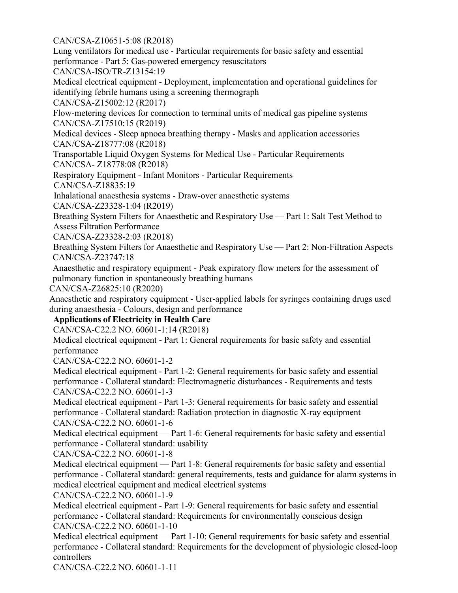CAN/CSA-Z10651-5:08 (R2018)

Lung ventilators for medical use - Particular requirements for basic safety and essential performance - Part 5: Gas-powered emergency resuscitators

CAN/CSA-ISO/TR-Z13154:19

Medical electrical equipment - Deployment, implementation and operational guidelines for identifying febrile humans using a screening thermograph

CAN/CSA-Z15002:12 (R2017)

Flow-metering devices for connection to terminal units of medical gas pipeline systems CAN/CSA-Z17510:15 (R2019)

Medical devices - Sleep apnoea breathing therapy - Masks and application accessories CAN/CSA-Z18777:08 (R2018)

Transportable Liquid Oxygen Systems for Medical Use - Particular Requirements CAN/CSA- Z18778:08 (R2018)

Respiratory Equipment - Infant Monitors - Particular Requirements CAN/CSA-Z18835:19

Inhalational anaesthesia systems - Draw-over anaesthetic systems

CAN/CSA-Z23328-1:04 (R2019)

Breathing System Filters for Anaesthetic and Respiratory Use — Part 1: Salt Test Method to Assess Filtration Performance

CAN/CSA-Z23328-2:03 (R2018)

Breathing System Filters for Anaesthetic and Respiratory Use — Part 2: Non-Filtration Aspects CAN/CSA-Z23747:18

Anaesthetic and respiratory equipment - Peak expiratory flow meters for the assessment of pulmonary function in spontaneously breathing humans

CAN/CSA-Z26825:10 (R2020)

Anaesthetic and respiratory equipment - User-applied labels for syringes containing drugs used during anaesthesia - Colours, design and performance

# **Applications of Electricity in Health Care**

CAN/CSA-C22.2 NO. 60601-1:14 (R2018)

Medical electrical equipment - Part 1: General requirements for basic safety and essential performance

CAN/CSA-C22.2 NO. 60601-1-2

Medical electrical equipment - Part 1-2: General requirements for basic safety and essential performance - Collateral standard: Electromagnetic disturbances - Requirements and tests CAN/CSA-C22.2 NO. 60601-1-3

Medical electrical equipment - Part 1-3: General requirements for basic safety and essential performance - Collateral standard: Radiation protection in diagnostic X-ray equipment CAN/CSA-C22.2 NO. 60601-1-6

Medical electrical equipment — Part 1-6: General requirements for basic safety and essential performance - Collateral standard: usability

CAN/CSA-C22.2 NO. 60601-1-8

Medical electrical equipment — Part 1-8: General requirements for basic safety and essential performance - Collateral standard: general requirements, tests and guidance for alarm systems in medical electrical equipment and medical electrical systems

CAN/CSA-C22.2 NO. 60601-1-9

Medical electrical equipment - Part 1-9: General requirements for basic safety and essential performance - Collateral standard: Requirements for environmentally conscious design CAN/CSA-C22.2 NO. 60601-1-10

Medical electrical equipment — Part 1-10: General requirements for basic safety and essential performance - Collateral standard: Requirements for the development of physiologic closed-loop controllers

CAN/CSA-C22.2 NO. 60601-1-11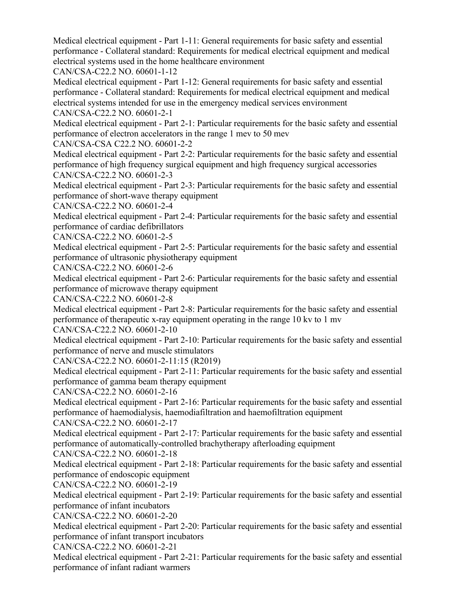Medical electrical equipment - Part 1-11: General requirements for basic safety and essential performance - Collateral standard: Requirements for medical electrical equipment and medical electrical systems used in the home healthcare environment

CAN/CSA-C22.2 NO. 60601-1-12

Medical electrical equipment - Part 1-12: General requirements for basic safety and essential performance - Collateral standard: Requirements for medical electrical equipment and medical electrical systems intended for use in the emergency medical services environment CAN/CSA-C22.2 NO. 60601-2-1

Medical electrical equipment - Part 2-1: Particular requirements for the basic safety and essential performance of electron accelerators in the range 1 mev to 50 mev

CAN/CSA-CSA C22.2 NO. 60601-2-2

Medical electrical equipment - Part 2-2: Particular requirements for the basic safety and essential performance of high frequency surgical equipment and high frequency surgical accessories CAN/CSA-C22.2 NO. 60601-2-3

Medical electrical equipment - Part 2-3: Particular requirements for the basic safety and essential performance of short-wave therapy equipment

CAN/CSA-C22.2 NO. 60601-2-4

Medical electrical equipment - Part 2-4: Particular requirements for the basic safety and essential performance of cardiac defibrillators

CAN/CSA-C22.2 NO. 60601-2-5

Medical electrical equipment - Part 2-5: Particular requirements for the basic safety and essential performance of ultrasonic physiotherapy equipment

CAN/CSA-C22.2 NO. 60601-2-6

Medical electrical equipment - Part 2-6: Particular requirements for the basic safety and essential performance of microwave therapy equipment

CAN/CSA-C22.2 NO. 60601-2-8

Medical electrical equipment - Part 2-8: Particular requirements for the basic safety and essential performance of therapeutic x-ray equipment operating in the range 10 kv to 1 mv

CAN/CSA-C22.2 NO. 60601-2-10

Medical electrical equipment - Part 2-10: Particular requirements for the basic safety and essential performance of nerve and muscle stimulators

CAN/CSA-C22.2 NO. 60601-2-11:15 (R2019)

Medical electrical equipment - Part 2-11: Particular requirements for the basic safety and essential performance of gamma beam therapy equipment

CAN/CSA-C22.2 NO. 60601-2-16

Medical electrical equipment - Part 2-16: Particular requirements for the basic safety and essential performance of haemodialysis, haemodiafiltration and haemofiltration equipment

CAN/CSA-C22.2 NO. 60601-2-17

Medical electrical equipment - Part 2-17: Particular requirements for the basic safety and essential performance of automatically-controlled brachytherapy afterloading equipment

CAN/CSA-C22.2 NO. 60601-2-18

Medical electrical equipment - Part 2-18: Particular requirements for the basic safety and essential performance of endoscopic equipment

CAN/CSA-C22.2 NO. 60601-2-19

Medical electrical equipment - Part 2-19: Particular requirements for the basic safety and essential performance of infant incubators

CAN/CSA-C22.2 NO. 60601-2-20

Medical electrical equipment - Part 2-20: Particular requirements for the basic safety and essential performance of infant transport incubators

CAN/CSA-C22.2 NO. 60601-2-21

Medical electrical equipment - Part 2-21: Particular requirements for the basic safety and essential performance of infant radiant warmers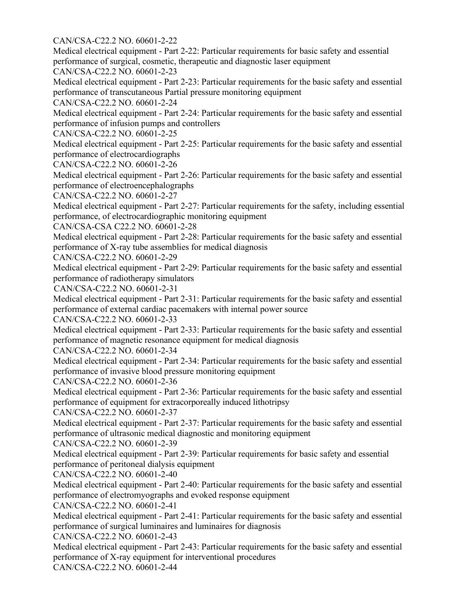CAN/CSA-C22.2 NO. 60601-2-22

Medical electrical equipment - Part 2-22: Particular requirements for basic safety and essential performance of surgical, cosmetic, therapeutic and diagnostic laser equipment

CAN/CSA-C22.2 NO. 60601-2-23

Medical electrical equipment - Part 2-23: Particular requirements for the basic safety and essential performance of transcutaneous Partial pressure monitoring equipment

CAN/CSA-C22.2 NO. 60601-2-24

Medical electrical equipment - Part 2-24: Particular requirements for the basic safety and essential performance of infusion pumps and controllers

CAN/CSA-C22.2 NO. 60601-2-25

Medical electrical equipment - Part 2-25: Particular requirements for the basic safety and essential performance of electrocardiographs

CAN/CSA-C22.2 NO. 60601-2-26

Medical electrical equipment - Part 2-26: Particular requirements for the basic safety and essential performance of electroencephalographs

CAN/CSA-C22.2 NO. 60601-2-27

Medical electrical equipment - Part 2-27: Particular requirements for the safety, including essential performance, of electrocardiographic monitoring equipment

CAN/CSA-CSA C22.2 NO. 60601-2-28

Medical electrical equipment - Part 2-28: Particular requirements for the basic safety and essential performance of X-ray tube assemblies for medical diagnosis

CAN/CSA-C22.2 NO. 60601-2-29

Medical electrical equipment - Part 2-29: Particular requirements for the basic safety and essential performance of radiotherapy simulators

CAN/CSA-C22.2 NO. 60601-2-31

Medical electrical equipment - Part 2-31: Particular requirements for the basic safety and essential performance of external cardiac pacemakers with internal power source

CAN/CSA-C22.2 NO. 60601-2-33

Medical electrical equipment - Part 2-33: Particular requirements for the basic safety and essential performance of magnetic resonance equipment for medical diagnosis

CAN/CSA-C22.2 NO. 60601-2-34

Medical electrical equipment - Part 2-34: Particular requirements for the basic safety and essential performance of invasive blood pressure monitoring equipment

CAN/CSA-C22.2 NO. 60601-2-36

Medical electrical equipment - Part 2-36: Particular requirements for the basic safety and essential performance of equipment for extracorporeally induced lithotripsy

CAN/CSA-C22.2 NO. 60601-2-37

Medical electrical equipment - Part 2-37: Particular requirements for the basic safety and essential performance of ultrasonic medical diagnostic and monitoring equipment

CAN/CSA-C22.2 NO. 60601-2-39

Medical electrical equipment - Part 2-39: Particular requirements for basic safety and essential performance of peritoneal dialysis equipment

CAN/CSA-C22.2 NO. 60601-2-40

Medical electrical equipment - Part 2-40: Particular requirements for the basic safety and essential performance of electromyographs and evoked response equipment

CAN/CSA-C22.2 NO. 60601-2-41

Medical electrical equipment - Part 2-41: Particular requirements for the basic safety and essential performance of surgical luminaires and luminaires for diagnosis

CAN/CSA-C22.2 NO. 60601-2-43

Medical electrical equipment - Part 2-43: Particular requirements for the basic safety and essential performance of X-ray equipment for interventional procedures

CAN/CSA-C22.2 NO. 60601-2-44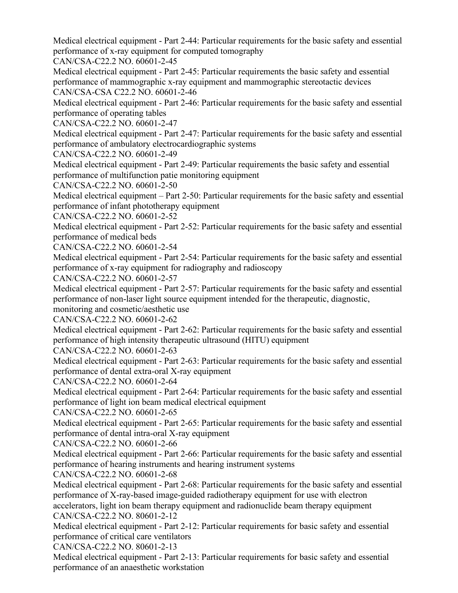Medical electrical equipment - Part 2-44: Particular requirements for the basic safety and essential performance of x-ray equipment for computed tomography

CAN/CSA-C22.2 NO. 60601-2-45

Medical electrical equipment - Part 2-45: Particular requirements the basic safety and essential performance of mammographic x-ray equipment and mammographic stereotactic devices CAN/CSA-CSA C22.2 NO. 60601-2-46

Medical electrical equipment - Part 2-46: Particular requirements for the basic safety and essential performance of operating tables

CAN/CSA-C22.2 NO. 60601-2-47

Medical electrical equipment - Part 2-47: Particular requirements for the basic safety and essential performance of ambulatory electrocardiographic systems

CAN/CSA-C22.2 NO. 60601-2-49

Medical electrical equipment - Part 2-49: Particular requirements the basic safety and essential performance of multifunction patie monitoring equipment

CAN/CSA-C22.2 NO. 60601-2-50

Medical electrical equipment – Part 2-50: Particular requirements for the basic safety and essential performance of infant phototherapy equipment

CAN/CSA-C22.2 NO. 60601-2-52

Medical electrical equipment - Part 2-52: Particular requirements for the basic safety and essential performance of medical beds

CAN/CSA-C22.2 NO. 60601-2-54

Medical electrical equipment - Part 2-54: Particular requirements for the basic safety and essential performance of x-ray equipment for radiography and radioscopy

CAN/CSA-C22.2 NO. 60601-2-57

Medical electrical equipment - Part 2-57: Particular requirements for the basic safety and essential performance of non-laser light source equipment intended for the therapeutic, diagnostic,

monitoring and cosmetic/aesthetic use

CAN/CSA-C22.2 NO. 60601-2-62

Medical electrical equipment - Part 2-62: Particular requirements for the basic safety and essential performance of high intensity therapeutic ultrasound (HITU) equipment

CAN/CSA-C22.2 NO. 60601-2-63

Medical electrical equipment - Part 2-63: Particular requirements for the basic safety and essential performance of dental extra-oral X-ray equipment

CAN/CSA-C22.2 NO. 60601-2-64

Medical electrical equipment - Part 2-64: Particular requirements for the basic safety and essential performance of light ion beam medical electrical equipment

CAN/CSA-C22.2 NO. 60601-2-65

Medical electrical equipment - Part 2-65: Particular requirements for the basic safety and essential performance of dental intra-oral X-ray equipment

CAN/CSA-C22.2 NO. 60601-2-66

Medical electrical equipment - Part 2-66: Particular requirements for the basic safety and essential performance of hearing instruments and hearing instrument systems

CAN/CSA-C22.2 NO. 60601-2-68

Medical electrical equipment - Part 2-68: Particular requirements for the basic safety and essential performance of X-ray-based image-guided radiotherapy equipment for use with electron accelerators, light ion beam therapy equipment and radionuclide beam therapy equipment CAN/CSA-C22.2 NO. 80601-2-12

Medical electrical equipment - Part 2-12: Particular requirements for basic safety and essential performance of critical care ventilators

CAN/CSA-C22.2 NO. 80601-2-13

Medical electrical equipment - Part 2-13: Particular requirements for basic safety and essential performance of an anaesthetic workstation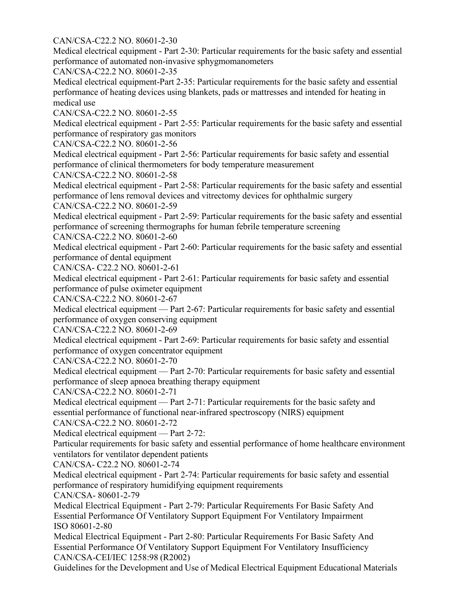## CAN/CSA-C22.2 NO. 80601-2-30

Medical electrical equipment - Part 2-30: Particular requirements for the basic safety and essential performance of automated non-invasive sphygmomanometers

CAN/CSA-C22.2 NO. 80601-2-35

Medical electrical equipment-Part 2-35: Particular requirements for the basic safety and essential performance of heating devices using blankets, pads or mattresses and intended for heating in medical use

CAN/CSA-C22.2 NO. 80601-2-55

Medical electrical equipment - Part 2-55: Particular requirements for the basic safety and essential performance of respiratory gas monitors

CAN/CSA-C22.2 NO. 80601-2-56

Medical electrical equipment - Part 2-56: Particular requirements for basic safety and essential performance of clinical thermometers for body temperature measurement

CAN/CSA-C22.2 NO. 80601-2-58

Medical electrical equipment - Part 2-58: Particular requirements for the basic safety and essential performance of lens removal devices and vitrectomy devices for ophthalmic surgery

CAN/CSA-C22.2 NO. 80601-2-59

Medical electrical equipment - Part 2-59: Particular requirements for the basic safety and essential performance of screening thermographs for human febrile temperature screening

CAN/CSA-C22.2 NO. 80601-2-60

Medical electrical equipment - Part 2-60: Particular requirements for the basic safety and essential performance of dental equipment

CAN/CSA- C22.2 NO. 80601-2-61

Medical electrical equipment - Part 2-61: Particular requirements for basic safety and essential performance of pulse oximeter equipment

CAN/CSA-C22.2 NO. 80601-2-67

Medical electrical equipment — Part 2-67: Particular requirements for basic safety and essential performance of oxygen conserving equipment

CAN/CSA-C22.2 NO. 80601-2-69

Medical electrical equipment - Part 2-69: Particular requirements for basic safety and essential performance of oxygen concentrator equipment

CAN/CSA-C22.2 NO. 80601-2-70

Medical electrical equipment — Part 2-70: Particular requirements for basic safety and essential performance of sleep apnoea breathing therapy equipment

CAN/CSA-C22.2 NO. 80601-2-71

Medical electrical equipment — Part 2-71: Particular requirements for the basic safety and essential performance of functional near-infrared spectroscopy (NIRS) equipment CAN/CSA-C22.2 NO. 80601-2-72

Medical electrical equipment — Part 2-72:

Particular requirements for basic safety and essential performance of home healthcare environment ventilators for ventilator dependent patients

CAN/CSA- C22.2 NO. 80601-2-74

Medical electrical equipment - Part 2-74: Particular requirements for basic safety and essential performance of respiratory humidifying equipment requirements

CAN/CSA- 80601-2-79

Medical Electrical Equipment - Part 2-79: Particular Requirements For Basic Safety And Essential Performance Of Ventilatory Support Equipment For Ventilatory Impairment ISO 80601-2-80

Medical Electrical Equipment - Part 2-80: Particular Requirements For Basic Safety And Essential Performance Of Ventilatory Support Equipment For Ventilatory Insufficiency CAN/CSA-CEI/IEC 1258:98 (R2002)

Guidelines for the Development and Use of Medical Electrical Equipment Educational Materials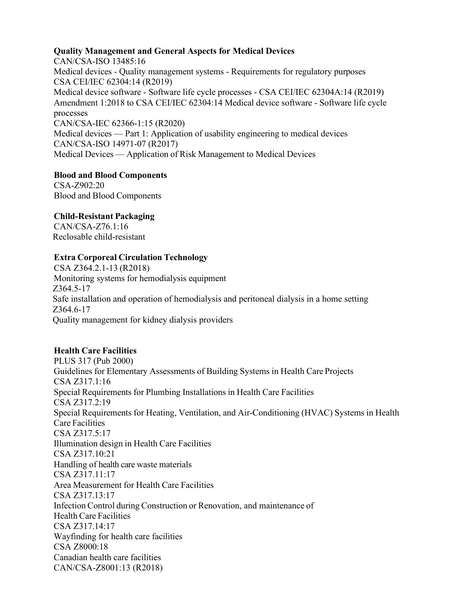### **Quality Management and General Aspects for Medical Devices**

CAN/CSA-ISO 13485:16 Medical devices - Quality management systems - Requirements for regulatory purposes CSA CEI/IEC 62304:14 (R2019) Medical device software - Software life cycle processes - CSA CEI/IEC 62304A:14 (R2019) Amendment 1:2018 to CSA CEI/IEC 62304:14 Medical device software - Software life cycle processes CAN/CSA-IEC 62366-1:15 (R2020) Medical devices — Part 1: Application of usability engineering to medical devices CAN/CSA-ISO 14971-07 (R2017) Medical Devices — Application of Risk Management to Medical Devices

## **Blood and Blood Components**

CSA-Z902:20 Blood and Blood Components

# **Child-Resistant Packaging**

CAN/CSA-Z76.1:16 Reclosable child-resistant

## **Extra Corporeal Circulation Technology**

CSA Z364.2.1-13 (R2018) Monitoring systems for hemodialysis equipment Z364.5-17 Safe installation and operation of hemodialysis and peritoneal dialysis in a home setting Z364.6-17 Quality management for kidney dialysis providers

# **Health Care Facilities**

PLUS 317 (Pub 2000) Guidelines for Elementary Assessments of Building Systems in Health Care Projects CSA Z317.1:16 Special Requirements for Plumbing Installations in Health Care Facilities CSA Z317.2:19 Special Requirements for Heating, Ventilation, and Air-Conditioning (HVAC) Systems in Health Care Facilities CSA Z317.5:17 Illumination design in Health Care Facilities CSA Z317.10:21 Handling of health care waste materials CSA Z317.11:17 Area Measurement for Health Care Facilities CSA Z317.13:17 Infection Control during Construction or Renovation, and maintenance of Health Care Facilities CSA Z317.14:17 Wayfinding for health care facilities CSA Z8000:18 Canadian health care facilities CAN/CSA-Z8001:13 (R2018)